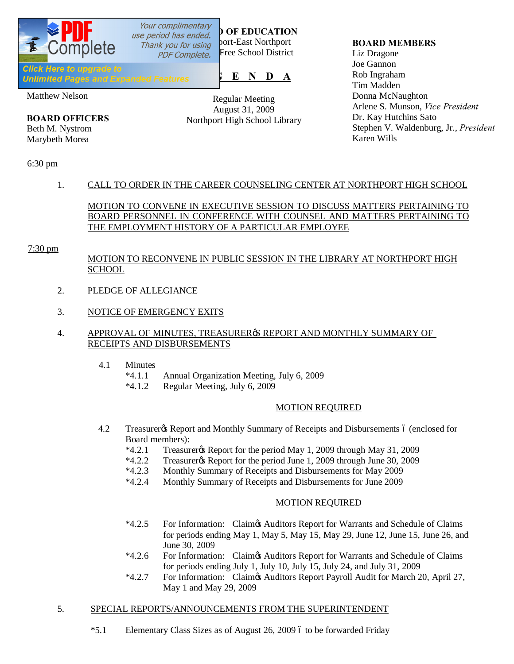

Matthew Nelson

**BOARD OFFICERS** Beth M. Nystrom Marybeth Morea

Regular Meeting August 31, 2009 Northport High School Library

## **BOARD MEMBERS**

Liz Dragone Joe Gannon Rob Ingraham Tim Madden Donna McNaughton Arlene S. Munson, *Vice President* Dr. Kay Hutchins Sato Stephen V. Waldenburg, Jr., *President* Karen Wills

## 6:30 pm

# 1. CALL TO ORDER IN THE CAREER COUNSELING CENTER AT NORTHPORT HIGH SCHOOL

MOTION TO CONVENE IN EXECUTIVE SESSION TO DISCUSS MATTERS PERTAINING TO BOARD PERSONNEL IN CONFERENCE WITH COUNSEL AND MATTERS PERTAINING TO THE EMPLOYMENT HISTORY OF A PARTICULAR EMPLOYEE

## 7:30 pm

# MOTION TO RECONVENE IN PUBLIC SESSION IN THE LIBRARY AT NORTHPORT HIGH SCHOOL

- 2. PLEDGE OF ALLEGIANCE
- 3. NOTICE OF EMERGENCY EXITS

## 4. APPROVAL OF MINUTES, TREASURER SREPORT AND MONTHLY SUMMARY OF RECEIPTS AND DISBURSEMENTS

- 4.1 Minutes
	- \*4.1.1 Annual Organization Meeting, July 6, 2009
	- \*4.1.2 Regular Meeting, July 6, 2009

## MOTION REQUIRED

- 4.2 Treasurer & Report and Monthly Summary of Receipts and Disbursements 6 (enclosed for Board members):
	- $*4.2.1$  Treasurer  $\&$  Report for the period May 1, 2009 through May 31, 2009
	- \*4.2.2 Treasurer's Report for the period June 1, 2009 through June 30, 2009
	- \*4.2.3 Monthly Summary of Receipts and Disbursements for May 2009
	- \*4.2.4 Monthly Summary of Receipts and Disbursements for June 2009

# MOTION REQUIRED

- \*4.2.5 For Information: Claim's Auditors Report for Warrants and Schedule of Claims for periods ending May 1, May 5, May 15, May 29, June 12, June 15, June 26, and June 30, 2009
- \*4.2.6 For Information: Claim's Auditors Report for Warrants and Schedule of Claims for periods ending July 1, July 10, July 15, July 24, and July 31, 2009
- \*4.2.7 For Information: Claim's Auditors Report Payroll Audit for March 20, April 27, May 1 and May 29, 2009

## 5. SPECIAL REPORTS/ANNOUNCEMENTS FROM THE SUPERINTENDENT

\*5.1 Elementary Class Sizes as of August 26, 2009 6 to be forwarded Friday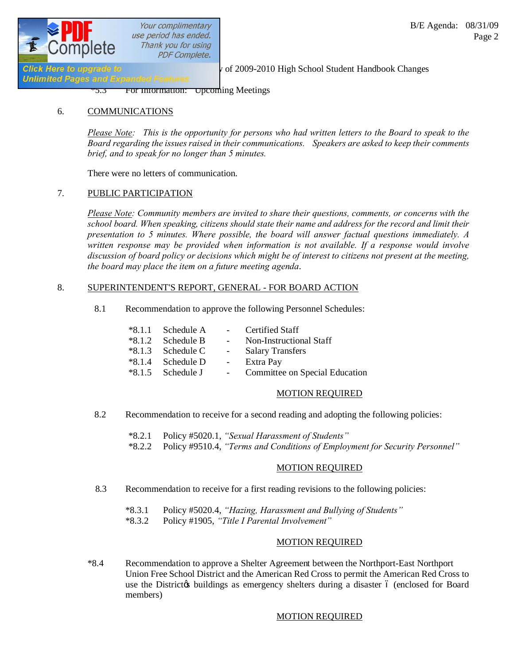

Your complimentary use period has ended. Thank you for using **PDF Complete.** 

**Unlimited Pages and Expanded Features** 

**Click Here to upgrade to**  $\frac{1}{2}$  **Review of 2009-2010 High School Student Handbook Changes** 

\*5.3 For Information: Upcoming Meetings

## 6. COMMUNICATIONS

*Please Note: This is the opportunity for persons who had written letters to the Board to speak to the Board regarding the issues raised in their communications. Speakers are asked to keep their comments brief, and to speak for no longer than 5 minutes.*

There were no letters of communication.

## 7. PUBLIC PARTICIPATION

*Please Note: Community members are invited to share their questions, comments, or concerns with the school board. When speaking, citizens should state their name and address for the record and limit their presentation to 5 minutes. Where possible, the board will answer factual questions immediately. A written response may be provided when information is not available. If a response would involve discussion of board policy or decisions which might be of interest to citizens not present at the meeting, the board may place the item on a future meeting agenda*.

## 8. SUPERINTENDENT'S REPORT, GENERAL - FOR BOARD ACTION

8.1 Recommendation to approve the following Personnel Schedules:

| $*8.1.1$ Schedule A | $\sim$ 10 $\pm$     | <b>Certified Staff</b>         |
|---------------------|---------------------|--------------------------------|
| $*8.1.2$ Schedule B | $\sim 100$          | Non-Instructional Staff        |
| $*8.1.3$ Schedule C | $\omega_{\rm{max}}$ | <b>Salary Transfers</b>        |
| $*8.1.4$ Schedule D | $\sim$              | Extra Pay                      |
| $*8.1.5$ Schedule J |                     | Committee on Special Education |

## MOTION REQUIRED

- 8.2 Recommendation to receive for a second reading and adopting the following policies:
	- \*8.2.1 Policy #5020.1, *"Sexual Harassment of Students"*
	- \*8.2.2 Policy #9510.4, *"Terms and Conditions of Employment for Security Personnel"*

## MOTION REQUIRED

- 8.3 Recommendation to receive for a first reading revisions to the following policies:
	- \*8.3.1 Policy #5020.4, *"Hazing, Harassment and Bullying of Students"*
	- \*8.3.2 Policy #1905, *"Title I Parental Involvement"*

## MOTION REQUIRED

\*8.4 Recommendation to approve a Shelter Agreement between the Northport-East Northport Union Free School District and the American Red Cross to permit the American Red Cross to use the Districtos buildings as emergency shelters during a disaster 6 (enclosed for Board members)

# MOTION REQUIRED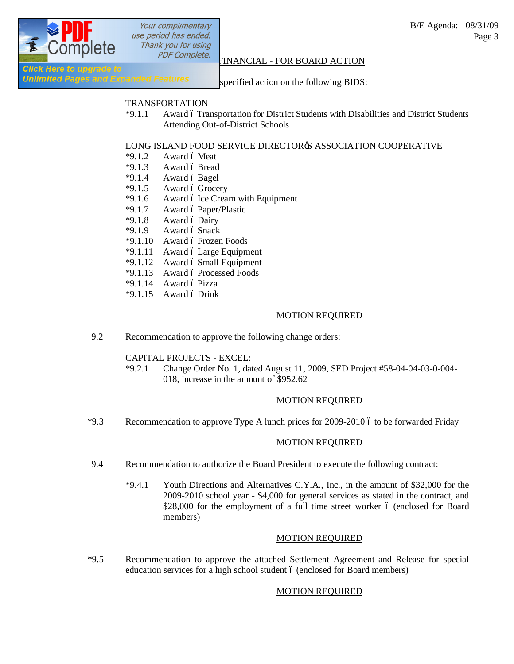

Your complimentary use period has ended. Thank you for using

#### B/E Agenda: 08/31/09 Page 3

# **PDF Complete.**<br>Click Here to upgrade to **Report Click** Here to upgrade to

Unlimited Pages and Expanded Features specified action on the following BIDS:

## TRANSPORTATION

\*9.1.1 Award 6 Transportation for District Students with Disabilities and District Students Attending Out-of-District Schools

## LONG ISLAND FOOD SERVICE DIRECTORS ASSOCIATION COOPERATIVE

- $*9.1.2$  Award 6 Meat
- $*9.1.3$  Award ó Bread
- $*9.1.4$  Award ó Bagel
- $*9.1.5$  Award 6 Grocery
- $*9.1.6$  Award 6 Ice Cream with Equipment
- $*9.1.7$  Award ó Paper/Plastic
- $*9.1.8$  Award ó Dairy
- $*9.1.9$  Award ó Snack
- $*9.1.10$  Award ó Frozen Foods
- $*9.1.11$  Award 6 Large Equipment
- \*9.1.12 Award 6 Small Equipment
- \*9.1.13 Award 6 Processed Foods
- $*9.1.14$  Award ó Pizza
- $*9.1.15$  Award ó Drink

## MOTION REQUIRED

9.2 Recommendation to approve the following change orders:

CAPITAL PROJECTS - EXCEL:

\*9.2.1 Change Order No. 1, dated August 11, 2009, SED Project #58-04-04-03-0-004- 018, increase in the amount of \$952.62

## MOTION REQUIRED

\*9.3 Recommendation to approve Type A lunch prices for 2009-2010 6 to be forwarded Friday

## MOTION REQUIRED

- 9.4 Recommendation to authorize the Board President to execute the following contract:
	- \*9.4.1 Youth Directions and Alternatives C.Y.A., Inc., in the amount of \$32,000 for the 2009-2010 school year - \$4,000 for general services as stated in the contract, and \$28,000 for the employment of a full time street worker  $\acute{o}$  (enclosed for Board members)

## MOTION REQUIRED

\*9.5 Recommendation to approve the attached Settlement Agreement and Release for special education services for a high school student 6 (enclosed for Board members)

## MOTION REQUIRED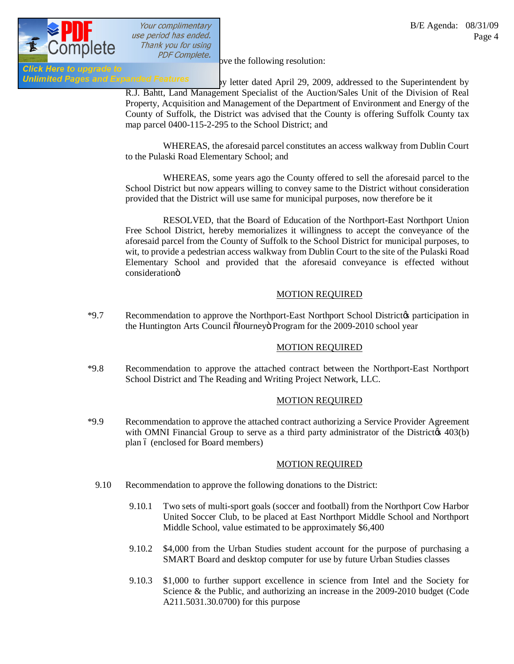

Your complimentary use period has ended. Thank you for using

Unlimited Pages and Expanded Features by letter dated April 29, 2009, addressed to the Superintendent by R.J. Bahtt, Land Management Specialist of the Auction/Sales Unit of the Division of Real Property, Acquisition and Management of the Department of Environment and Energy of the County of Suffolk, the District was advised that the County is offering Suffolk County tax map parcel 0400-115-2-295 to the School District; and

> WHEREAS, the aforesaid parcel constitutes an access walkway from Dublin Court to the Pulaski Road Elementary School; and

> WHEREAS, some years ago the County offered to sell the aforesaid parcel to the School District but now appears willing to convey same to the District without consideration provided that the District will use same for municipal purposes, now therefore be it

> RESOLVED, that the Board of Education of the Northport-East Northport Union Free School District, hereby memorializes it willingness to accept the conveyance of the aforesaid parcel from the County of Suffolk to the School District for municipal purposes, to wit, to provide a pedestrian access walkway from Dublin Court to the site of the Pulaski Road Elementary School and provided that the aforesaid conveyance is effected without considerationö

## MOTION REQUIRED

\*9.7 Recommendation to approve the Northport-East Northport School District to participation in the Huntington Arts Council õJourneyö Program for the 2009-2010 school year

## MOTION REQUIRED

\*9.8 Recommendation to approve the attached contract between the Northport-East Northport School District and The Reading and Writing Project Network, LLC.

## MOTION REQUIRED

\*9.9 Recommendation to approve the attached contract authorizing a Service Provider Agreement with OMNI Financial Group to serve as a third party administrator of the Districtor  $403(b)$ plan  $6$  (enclosed for Board members)

## MOTION REQUIRED

- 9.10 Recommendation to approve the following donations to the District:
	- 9.10.1 Two sets of multi-sport goals (soccer and football) from the Northport Cow Harbor United Soccer Club, to be placed at East Northport Middle School and Northport Middle School, value estimated to be approximately \$6,400
	- 9.10.2 \$4,000 from the Urban Studies student account for the purpose of purchasing a SMART Board and desktop computer for use by future Urban Studies classes
	- 9.10.3 \$1,000 to further support excellence in science from Intel and the Society for Science & the Public, and authorizing an increase in the 2009-2010 budget (Code A211.5031.30.0700) for this purpose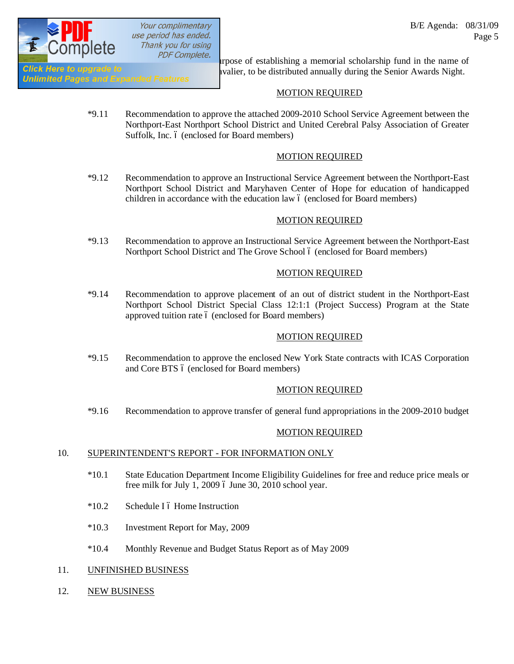

Your complimentary use period has ended. Thank you for using

PDF Complete.<br>In the purpose of establishing a memorial scholarship fund in the name of GIICK Here to upgrade to<br>Unlimited Pages and Expanded Features and annually during the Senior Awards Night.

# MOTION REQUIRED

\*9.11 Recommendation to approve the attached 2009-2010 School Service Agreement between the Northport-East Northport School District and United Cerebral Palsy Association of Greater Suffolk, Inc. 6 (enclosed for Board members)

# MOTION REQUIRED

\*9.12 Recommendation to approve an Instructional Service Agreement between the Northport-East Northport School District and Maryhaven Center of Hope for education of handicapped children in accordance with the education law  $\acute{o}$  (enclosed for Board members)

## MOTION REQUIRED

\*9.13 Recommendation to approve an Instructional Service Agreement between the Northport-East Northport School District and The Grove School 6 (enclosed for Board members)

## MOTION REQUIRED

\*9.14 Recommendation to approve placement of an out of district student in the Northport-East Northport School District Special Class 12:1:1 (Project Success) Program at the State approved tuition rate 6 (enclosed for Board members)

# MOTION REQUIRED

\*9.15 Recommendation to approve the enclosed New York State contracts with ICAS Corporation and Core BTS  $6$  (enclosed for Board members)

# MOTION REQUIRED

\*9.16 Recommendation to approve transfer of general fund appropriations in the 2009-2010 budget

## MOTION REQUIRED

## 10. SUPERINTENDENT'S REPORT - FOR INFORMATION ONLY

- \*10.1 State Education Department Income Eligibility Guidelines for free and reduce price meals or free milk for July 1, 2009  $\acute{o}$  June 30, 2010 school year.
- $*10.2$  Schedule I 6 Home Instruction
- \*10.3 Investment Report for May, 2009
- \*10.4 Monthly Revenue and Budget Status Report as of May 2009
- 11. UNFINISHED BUSINESS
- 12. NEW BUSINESS